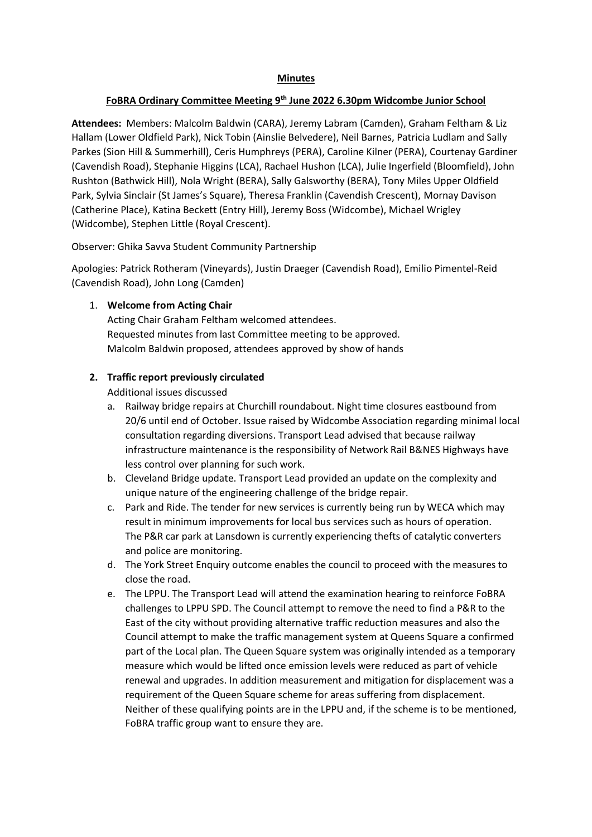### **FoBRA Ordinary Committee Meeting 9th June 2022 6.30pm Widcombe Junior School**

**Attendees:** Members: Malcolm Baldwin (CARA), Jeremy Labram (Camden), Graham Feltham & Liz Hallam (Lower Oldfield Park), Nick Tobin (Ainslie Belvedere), Neil Barnes, Patricia Ludlam and Sally Parkes (Sion Hill & Summerhill), Ceris Humphreys (PERA), Caroline Kilner (PERA), Courtenay Gardiner (Cavendish Road), Stephanie Higgins (LCA), Rachael Hushon (LCA), Julie Ingerfield (Bloomfield), John Rushton (Bathwick Hill), Nola Wright (BERA), Sally Galsworthy (BERA), Tony Miles Upper Oldfield Park, Sylvia Sinclair (St James's Square), Theresa Franklin (Cavendish Crescent), Mornay Davison (Catherine Place), Katina Beckett (Entry Hill), Jeremy Boss (Widcombe), Michael Wrigley (Widcombe), Stephen Little (Royal Crescent).

Observer: Ghika Savva Student Community Partnership

Apologies: Patrick Rotheram (Vineyards), Justin Draeger (Cavendish Road), Emilio Pimentel-Reid (Cavendish Road), John Long (Camden)

## 1. **Welcome from Acting Chair**

Acting Chair Graham Feltham welcomed attendees. Requested minutes from last Committee meeting to be approved. Malcolm Baldwin proposed, attendees approved by show of hands

## **2. Traffic report previously circulated**

Additional issues discussed

- a. Railway bridge repairs at Churchill roundabout. Night time closures eastbound from 20/6 until end of October. Issue raised by Widcombe Association regarding minimal local consultation regarding diversions. Transport Lead advised that because railway infrastructure maintenance is the responsibility of Network Rail B&NES Highways have less control over planning for such work.
- b. Cleveland Bridge update. Transport Lead provided an update on the complexity and unique nature of the engineering challenge of the bridge repair.
- c. Park and Ride. The tender for new services is currently being run by WECA which may result in minimum improvements for local bus services such as hours of operation. The P&R car park at Lansdown is currently experiencing thefts of catalytic converters and police are monitoring.
- d. The York Street Enquiry outcome enables the council to proceed with the measures to close the road.
- e. The LPPU. The Transport Lead will attend the examination hearing to reinforce FoBRA challenges to LPPU SPD. The Council attempt to remove the need to find a P&R to the East of the city without providing alternative traffic reduction measures and also the Council attempt to make the traffic management system at Queens Square a confirmed part of the Local plan. The Queen Square system was originally intended as a temporary measure which would be lifted once emission levels were reduced as part of vehicle renewal and upgrades. In addition measurement and mitigation for displacement was a requirement of the Queen Square scheme for areas suffering from displacement. Neither of these qualifying points are in the LPPU and, if the scheme is to be mentioned, FoBRA traffic group want to ensure they are.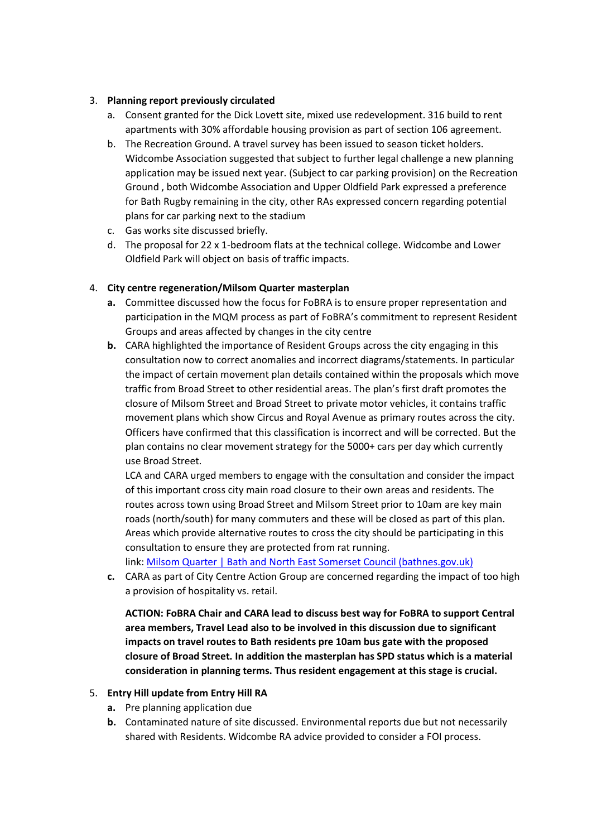## 3. **Planning report previously circulated**

- a. Consent granted for the Dick Lovett site, mixed use redevelopment. 316 build to rent apartments with 30% affordable housing provision as part of section 106 agreement.
- b. The Recreation Ground. A travel survey has been issued to season ticket holders. Widcombe Association suggested that subject to further legal challenge a new planning application may be issued next year. (Subject to car parking provision) on the Recreation Ground , both Widcombe Association and Upper Oldfield Park expressed a preference for Bath Rugby remaining in the city, other RAs expressed concern regarding potential plans for car parking next to the stadium
- c. Gas works site discussed briefly.
- d. The proposal for 22 x 1-bedroom flats at the technical college. Widcombe and Lower Oldfield Park will object on basis of traffic impacts.

## 4. **City centre regeneration/Milsom Quarter masterplan**

- **a.** Committee discussed how the focus for FoBRA is to ensure proper representation and participation in the MQM process as part of FoBRA's commitment to represent Resident Groups and areas affected by changes in the city centre
- **b.** CARA highlighted the importance of Resident Groups across the city engaging in this consultation now to correct anomalies and incorrect diagrams/statements. In particular the impact of certain movement plan details contained within the proposals which move traffic from Broad Street to other residential areas. The plan's first draft promotes the closure of Milsom Street and Broad Street to private motor vehicles, it contains traffic movement plans which show Circus and Royal Avenue as primary routes across the city. Officers have confirmed that this classification is incorrect and will be corrected. But the plan contains no clear movement strategy for the 5000+ cars per day which currently use Broad Street.

LCA and CARA urged members to engage with the consultation and consider the impact of this important cross city main road closure to their own areas and residents. The routes across town using Broad Street and Milsom Street prior to 10am are key main roads (north/south) for many commuters and these will be closed as part of this plan. Areas which provide alternative routes to cross the city should be participating in this consultation to ensure they are protected from rat running.

link: [Milsom Quarter | Bath and North East Somerset Council \(bathnes.gov.uk\)](about:blank)

**c.** CARA as part of City Centre Action Group are concerned regarding the impact of too high a provision of hospitality vs. retail.

**ACTION: FoBRA Chair and CARA lead to discuss best way for FoBRA to support Central area members, Travel Lead also to be involved in this discussion due to significant impacts on travel routes to Bath residents pre 10am bus gate with the proposed closure of Broad Street. In addition the masterplan has SPD status which is a material consideration in planning terms. Thus resident engagement at this stage is crucial.**

#### 5. **Entry Hill update from Entry Hill RA**

- **a.** Pre planning application due
- **b.** Contaminated nature of site discussed. Environmental reports due but not necessarily shared with Residents. Widcombe RA advice provided to consider a FOI process.